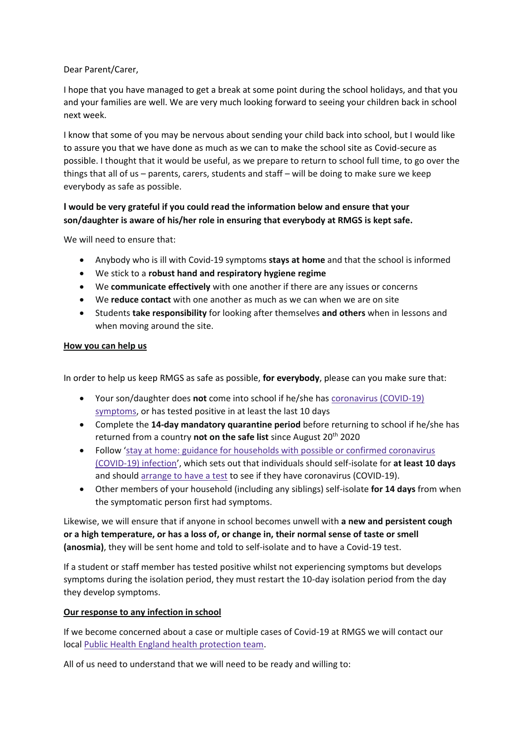Dear Parent/Carer,

I hope that you have managed to get a break at some point during the school holidays, and that you and your families are well. We are very much looking forward to seeing your children back in school next week.

I know that some of you may be nervous about sending your child back into school, but I would like to assure you that we have done as much as we can to make the school site as Covid-secure as possible. I thought that it would be useful, as we prepare to return to school full time, to go over the things that all of us – parents, carers, students and staff – will be doing to make sure we keep everybody as safe as possible.

# **I would be very grateful if you could read the information below and ensure that your son/daughter is aware of his/her role in ensuring that everybody at RMGS is kept safe.**

We will need to ensure that:

- Anybody who is ill with Covid-19 symptoms **stays at home** and that the school is informed
- We stick to a **robust hand and respiratory hygiene regime**
- We **communicate effectively** with one another if there are any issues or concerns
- We **reduce contact** with one another as much as we can when we are on site
- Students **take responsibility** for looking after themselves **and others** when in lessons and when moving around the site.

### **How you can help us**

In order to help us keep RMGS as safe as possible, **for everybody**, please can you make sure that:

- Your son/daughter does **not** come into school if he/she has [coronavirus \(COVID-19\)](https://www.gov.uk/guidance/nhs-test-and-trace-how-it-works#people-who-develop-symptoms-of-coronavirus)  [symptoms,](https://www.gov.uk/guidance/nhs-test-and-trace-how-it-works#people-who-develop-symptoms-of-coronavirus) or has tested positive in at least the last 10 days
- Complete the **14-day mandatory quarantine period** before returning to school if he/she has returned from a country **not on the safe list** since August 20<sup>th</sup> 2020
- Follow '[stay at home: guidance for households with possible or confirmed coronavirus](https://www.gov.uk/government/publications/covid-19-stay-at-home-guidance)  [\(COVID-19\) infection](https://www.gov.uk/government/publications/covid-19-stay-at-home-guidance)', which sets out that individuals should self-isolate for **at least 10 days** and should [arrange to have a test](https://www.gov.uk/guidance/coronavirus-covid-19-getting-tested) to see if they have coronavirus (COVID-19).
- Other members of your household (including any siblings) self-isolate **for 14 days** from when the symptomatic person first had symptoms.

Likewise, we will ensure that if anyone in school becomes unwell with **a new and persistent cough or a high temperature, or has a loss of, or change in, their normal sense of taste or smell (anosmia)**, they will be sent home and told to self-isolate and to have a Covid-19 test.

If a student or staff member has tested positive whilst not experiencing symptoms but develops symptoms during the isolation period, they must restart the 10-day isolation period from the day they develop symptoms.

### **Our response to any infection in school**

If we become concerned about a case or multiple cases of Covid-19 at RMGS we will contact our local [Public Health England health protection team.](https://www.gov.uk/guidance/contacts-phe-health-protection-teams)

All of us need to understand that we will need to be ready and willing to: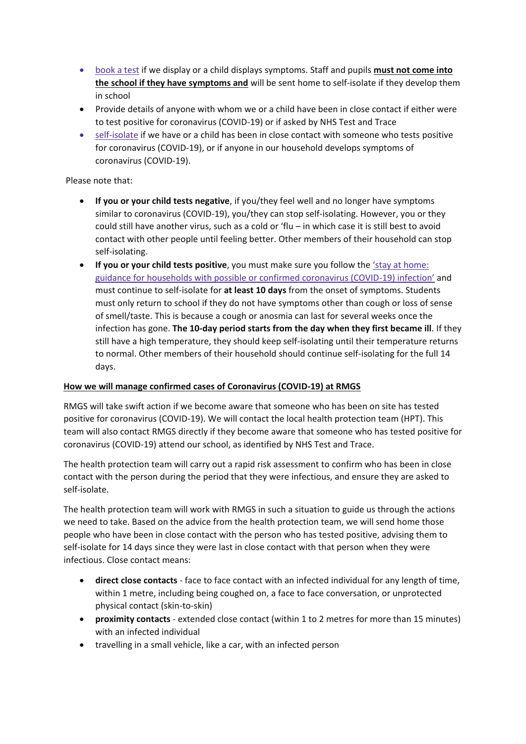- [book a test](https://www.gov.uk/guidance/coronavirus-covid-19-getting-tested) if we display or a child displays symptoms. Staff and pupils **must not come into the school if they have symptoms and** will be sent home to self-isolate if they develop them in school
- Provide details of anyone with whom we or a child have been in close contact if either were to test positive for coronavirus (COVID-19) or if asked by NHS Test and Trace
- [self-isolate](https://www.gov.uk/government/publications/covid-19-stay-at-home-guidance/stay-at-home-guidance-for-households-with-possible-coronavirus-covid-19-infection) if we have or a child has been in close contact with someone who tests positive for coronavirus (COVID-19), or if anyone in our household develops symptoms of coronavirus (COVID-19).

### Please note that:

- **If you or your child tests negative**, if you/they feel well and no longer have symptoms similar to coronavirus (COVID-19), you/they can stop self-isolating. However, you or they could still have another virus, such as a cold or 'flu – in which case it is still best to avoid contact with other people until feeling better. Other members of their household can stop self-isolating.
- **If you or your child tests positive**, you must make sure you follow the ['stay at home:](https://www.gov.uk/government/publications/covid-19-stay-at-home-guidance)  [guidance for households with possible or confirmed coronavirus \(COVID-19\)](https://www.gov.uk/government/publications/covid-19-stay-at-home-guidance) infection' and must continue to self-isolate for **at least 10 days** from the onset of symptoms. Students must only return to school if they do not have symptoms other than cough or loss of sense of smell/taste. This is because a cough or anosmia can last for several weeks once the infection has gone. **The 10-day period starts from the day when they first became ill**. If they still have a high temperature, they should keep self-isolating until their temperature returns to normal. Other members of their household should continue self-isolating for the full 14 days.

## **How we will manage confirmed cases of Coronavirus (COVID-19) at RMGS**

RMGS will take swift action if we become aware that someone who has been on site has tested positive for coronavirus (COVID-19). We will contact the local health protection team (HPT). This team will also contact RMGS directly if they become aware that someone who has tested positive for coronavirus (COVID-19) attend our school, as identified by NHS Test and Trace.

The health protection team will carry out a rapid risk assessment to confirm who has been in close contact with the person during the period that they were infectious, and ensure they are asked to self-isolate.

The health protection team will work with RMGS in such a situation to guide us through the actions we need to take. Based on the advice from the health protection team, we will send home those people who have been in close contact with the person who has tested positive, advising them to self-isolate for 14 days since they were last in close contact with that person when they were infectious. Close contact means:

- **direct close contacts** face to face contact with an infected individual for any length of time, within 1 metre, including being coughed on, a face to face conversation, or unprotected physical contact (skin-to-skin)
- **proximity contacts** extended close contact (within 1 to 2 metres for more than 15 minutes) with an infected individual
- travelling in a small vehicle, like a car, with an infected person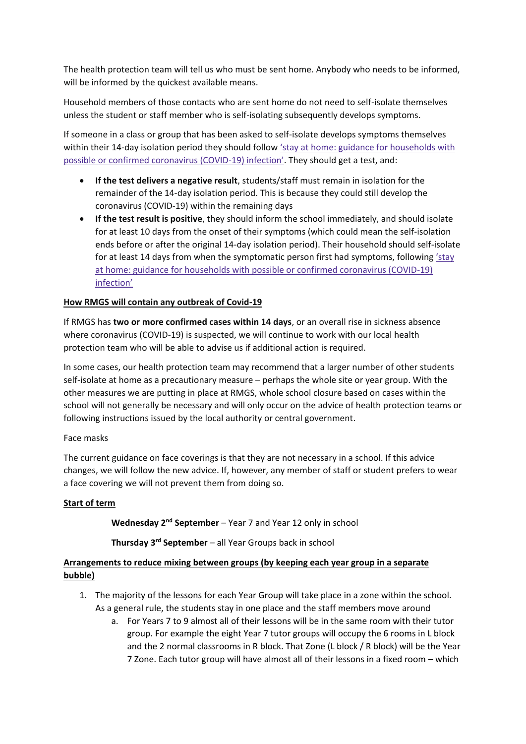The health protection team will tell us who must be sent home. Anybody who needs to be informed, will be informed by the quickest available means.

Household members of those contacts who are sent home do not need to self-isolate themselves unless the student or staff member who is self-isolating subsequently develops symptoms.

If someone in a class or group that has been asked to self-isolate develops symptoms themselves within their 14-day isolation period they should follow ['stay at home: guidance for households with](https://www.gov.uk/government/publications/covid-19-stay-at-home-guidance)  [possible or confirmed coronavirus \(COVID-](https://www.gov.uk/government/publications/covid-19-stay-at-home-guidance)19) infection'. They should get a test, and:

- **If the test delivers a negative result**, students/staff must remain in isolation for the remainder of the 14-day isolation period. This is because they could still develop the coronavirus (COVID-19) within the remaining days
- **If the test result is positive**, they should inform the school immediately, and should isolate for at least 10 days from the onset of their symptoms (which could mean the self-isolation ends before or after the original 14-day isolation period). Their household should self-isolate for at least 14 days from when the symptomatic person first had symptoms, following ['stay](https://www.gov.uk/government/publications/covid-19-stay-at-home-guidance)  [at home: guidance for households with possible or confirmed coronavirus \(COVID-19\)](https://www.gov.uk/government/publications/covid-19-stay-at-home-guidance)  [infection'](https://www.gov.uk/government/publications/covid-19-stay-at-home-guidance)

### **How RMGS will contain any outbreak of Covid-19**

If RMGS has **two or more confirmed cases within 14 days**, or an overall rise in sickness absence where coronavirus (COVID-19) is suspected, we will continue to work with our local health protection team who will be able to advise us if additional action is required.

In some cases, our health protection team may recommend that a larger number of other students self-isolate at home as a precautionary measure – perhaps the whole site or year group. With the other measures we are putting in place at RMGS, whole school closure based on cases within the school will not generally be necessary and will only occur on the advice of health protection teams or following instructions issued by the local authority or central government.

### Face masks

The current guidance on face coverings is that they are not necessary in a school. If this advice changes, we will follow the new advice. If, however, any member of staff or student prefers to wear a face covering we will not prevent them from doing so.

### **Start of term**

**Wednesday 2nd September** – Year 7 and Year 12 only in school

**Thursday 3rd September** – all Year Groups back in school

## **Arrangements to reduce mixing between groups (by keeping each year group in a separate bubble)**

- 1. The majority of the lessons for each Year Group will take place in a zone within the school. As a general rule, the students stay in one place and the staff members move around
	- a. For Years 7 to 9 almost all of their lessons will be in the same room with their tutor group. For example the eight Year 7 tutor groups will occupy the 6 rooms in L block and the 2 normal classrooms in R block. That Zone (L block / R block) will be the Year 7 Zone. Each tutor group will have almost all of their lessons in a fixed room – which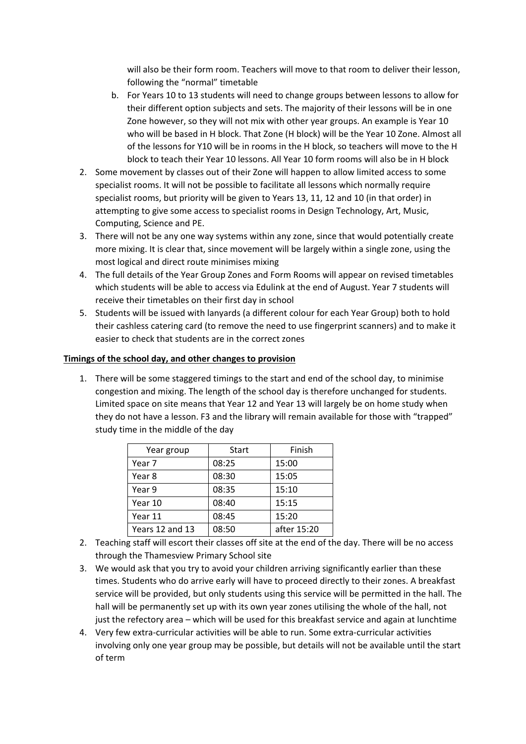will also be their form room. Teachers will move to that room to deliver their lesson, following the "normal" timetable

- b. For Years 10 to 13 students will need to change groups between lessons to allow for their different option subjects and sets. The majority of their lessons will be in one Zone however, so they will not mix with other year groups. An example is Year 10 who will be based in H block. That Zone (H block) will be the Year 10 Zone. Almost all of the lessons for Y10 will be in rooms in the H block, so teachers will move to the H block to teach their Year 10 lessons. All Year 10 form rooms will also be in H block
- 2. Some movement by classes out of their Zone will happen to allow limited access to some specialist rooms. It will not be possible to facilitate all lessons which normally require specialist rooms, but priority will be given to Years 13, 11, 12 and 10 (in that order) in attempting to give some access to specialist rooms in Design Technology, Art, Music, Computing, Science and PE.
- 3. There will not be any one way systems within any zone, since that would potentially create more mixing. It is clear that, since movement will be largely within a single zone, using the most logical and direct route minimises mixing
- 4. The full details of the Year Group Zones and Form Rooms will appear on revised timetables which students will be able to access via Edulink at the end of August. Year 7 students will receive their timetables on their first day in school
- 5. Students will be issued with lanyards (a different colour for each Year Group) both to hold their cashless catering card (to remove the need to use fingerprint scanners) and to make it easier to check that students are in the correct zones

### **Timings of the school day, and other changes to provision**

1. There will be some staggered timings to the start and end of the school day, to minimise congestion and mixing. The length of the school day is therefore unchanged for students. Limited space on site means that Year 12 and Year 13 will largely be on home study when they do not have a lesson. F3 and the library will remain available for those with "trapped" study time in the middle of the day

| Year group      | <b>Start</b> | Finish      |  |
|-----------------|--------------|-------------|--|
| Year 7          | 08:25        | 15:00       |  |
| Year 8          | 08:30        | 15:05       |  |
| Year 9          | 08:35        | 15:10       |  |
| Year 10         | 08:40        | 15:15       |  |
| Year 11         | 08:45        | 15:20       |  |
| Years 12 and 13 | 08:50        | after 15:20 |  |

- 2. Teaching staff will escort their classes off site at the end of the day. There will be no access through the Thamesview Primary School site
- 3. We would ask that you try to avoid your children arriving significantly earlier than these times. Students who do arrive early will have to proceed directly to their zones. A breakfast service will be provided, but only students using this service will be permitted in the hall. The hall will be permanently set up with its own year zones utilising the whole of the hall, not just the refectory area – which will be used for this breakfast service and again at lunchtime
- 4. Very few extra-curricular activities will be able to run. Some extra-curricular activities involving only one year group may be possible, but details will not be available until the start of term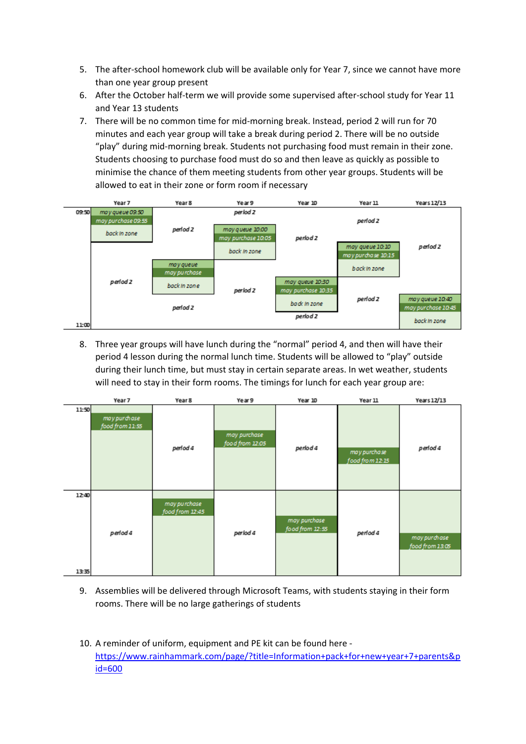- 5. The after-school homework club will be available only for Year 7, since we cannot have more than one year group present
- 6. After the October half-term we will provide some supervised after-school study for Year 11 and Year 13 students
- 7. There will be no common time for mid-morning break. Instead, period 2 will run for 70 minutes and each year group will take a break during period 2. There will be no outside "play" during mid-morning break. Students not purchasing food must remain in their zone. Students choosing to purchase food must do so and then leave as quickly as possible to minimise the chance of them meeting students from other year groups. Students will be allowed to eat in their zone or form room if necessary



8. Three year groups will have lunch during the "normal" period 4, and then will have their period 4 lesson during the normal lunch time. Students will be allowed to "play" outside during their lunch time, but must stay in certain separate areas. In wet weather, students will need to stay in their form rooms. The timings for lunch for each year group are:

|                | Year 7                          | Year 8                          | Year 9                          | Year 10                         | Year 11                         | Years 12/13                     |
|----------------|---------------------------------|---------------------------------|---------------------------------|---------------------------------|---------------------------------|---------------------------------|
| 11:50          | may purchase<br>food from 11:55 | perlod 4                        | may purchase<br>food from 12:05 | period 4                        | may purchase<br>food from 12:15 | period 4                        |
| 12:40<br>13:35 | period 4                        | may purchase<br>food from 12:45 | perlod 4                        | may purchase<br>food from 12:55 | period 4                        | may purchase<br>food from 13:05 |

- 9. Assemblies will be delivered through Microsoft Teams, with students staying in their form rooms. There will be no large gatherings of students
- 10. A reminder of uniform, equipment and PE kit can be found here [https://www.rainhammark.com/page/?title=Information+pack+for+new+year+7+parents&p](https://www.rainhammark.com/page/?title=Information+pack+for+new+year+7+parents&pid=600) [id=600](https://www.rainhammark.com/page/?title=Information+pack+for+new+year+7+parents&pid=600)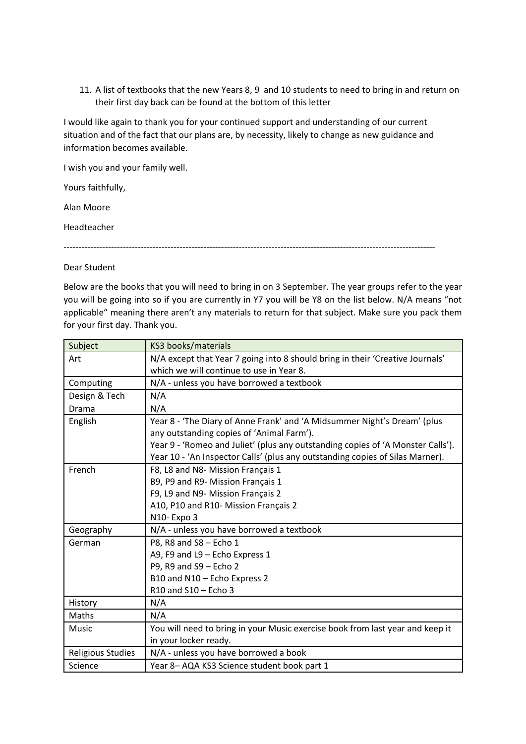11. A list of textbooks that the new Years 8, 9 and 10 students to need to bring in and return on their first day back can be found at the bottom of this letter

I would like again to thank you for your continued support and understanding of our current situation and of the fact that our plans are, by necessity, likely to change as new guidance and information becomes available.

I wish you and your family well.

Yours faithfully,

Alan Moore

Headteacher

-----------------------------------------------------------------------------------------------------------------------------

#### Dear Student

Below are the books that you will need to bring in on 3 September. The year groups refer to the year you will be going into so if you are currently in Y7 you will be Y8 on the list below. N/A means "not applicable" meaning there aren't any materials to return for that subject. Make sure you pack them for your first day. Thank you.

| Subject           | KS3 books/materials                                                                                                                                                                                                                                                                       |
|-------------------|-------------------------------------------------------------------------------------------------------------------------------------------------------------------------------------------------------------------------------------------------------------------------------------------|
| Art               | N/A except that Year 7 going into 8 should bring in their 'Creative Journals'<br>which we will continue to use in Year 8.                                                                                                                                                                 |
| Computing         | N/A - unless you have borrowed a textbook                                                                                                                                                                                                                                                 |
| Design & Tech     | N/A                                                                                                                                                                                                                                                                                       |
| Drama             | N/A                                                                                                                                                                                                                                                                                       |
| English           | Year 8 - 'The Diary of Anne Frank' and 'A Midsummer Night's Dream' (plus<br>any outstanding copies of 'Animal Farm').<br>Year 9 - 'Romeo and Juliet' (plus any outstanding copies of 'A Monster Calls').<br>Year 10 - 'An Inspector Calls' (plus any outstanding copies of Silas Marner). |
| French            | F8, L8 and N8- Mission Français 1<br>B9, P9 and R9- Mission Français 1<br>F9, L9 and N9- Mission Français 2<br>A10, P10 and R10- Mission Français 2<br>N10- Expo 3                                                                                                                        |
| Geography         | N/A - unless you have borrowed a textbook                                                                                                                                                                                                                                                 |
| German            | P8, R8 and S8 - Echo 1<br>A9, F9 and L9 - Echo Express 1<br>P9, R9 and S9 - Echo 2<br>B10 and N10 - Echo Express 2<br>R10 and S10 - Echo 3                                                                                                                                                |
| History           | N/A                                                                                                                                                                                                                                                                                       |
| Maths             | N/A                                                                                                                                                                                                                                                                                       |
| Music             | You will need to bring in your Music exercise book from last year and keep it<br>in your locker ready.                                                                                                                                                                                    |
| Religious Studies | N/A - unless you have borrowed a book                                                                                                                                                                                                                                                     |
| Science           | Year 8-AQA KS3 Science student book part 1                                                                                                                                                                                                                                                |